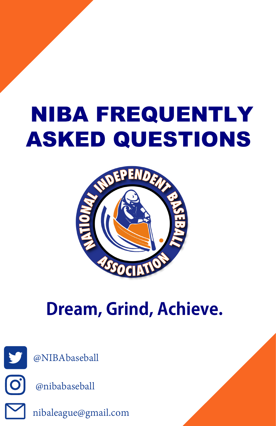## NIBA FREQUENTLY ASKED QUESTIONS



## **Dream, Grind, Achieve.**





nibaleague@gmail.com @nibabaseball @NIBAbaseball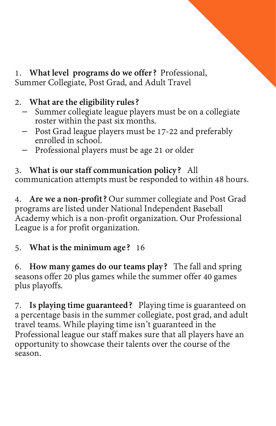1. **What level programs do we offer?** Professional, Summer Collegiate, Post Grad, and Adult Travel

## 2. **What are the eligibility rules?**

- Summer collegiate league players must be on a collegiate roster within the past six months.
- <sup>−</sup> Post Grad league players must be 17-22 and preferably enrolled in school.
- − Professional players must be age 21 or older

3. **What is our staff communication policy?** All communication attempts must be responded to within 48 hours.

4. **Are we a non-profit?** Our summer collegiate and Post Grad programs are listed under National Independent Baseball Academy which is a non-profit organization. Our Professional League is a for profit organization.

## 5. **What is the minimum age?** 16

6. **How many games do our teams play?** The fall and spring seasons offer 20 plus games while the summer offer 40 games plus playoffs.

7. Is playing time guaranteed? Playing time is guaranteed on<br>a percentage basis in the summer collegiate, post grad, and adult<br>travel teams. While playing time isn't guaranteed in the<br>Professional league our staff makes su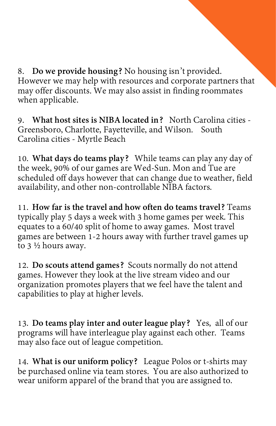8. **Do we provide housing?** No housing isn't provided. However we may help with resources and corporate partners that may offer discounts. We may also assist in finding roommates when applicable.

9. **What host sites is NIBA located in?** North Carolina cities - Greensboro, Charlotte, Fayetteville, and Wilson. South Carolina cities - Myrtle Beach

10. What days do teams play? While teams can play any day of the week, 90% of our games are Wed-Sun. Mon and Tue are scheduled off days however that can change due to weather, field availability, and other non-controllable

11. How far is the travel and how often do teams travel? Teams typically play 5 days a week with 3 home games per week. This equates to a 60/40 split of home to away games. Most travel games are between 1-2 hours away wit

12. **Do scouts attend games?** Scouts normally do not attend games. However they look at the live stream video and our organization promotes players that we feel have the talent and capabilities to play at higher levels.

13. **Do teams play inter and outer league play?** Yes, all of our programs will have interleague play against each other. Teams may also face out of league competition.

14. **What is our uniform policy?** League Polos or t-shirts may be purchased online via team stores. You are also authorized to wear uniform apparel of the brand that you are assigned to.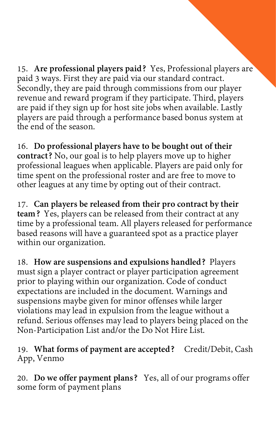15. Are professional players paid? Yes, Professional players are<br>paid 3 ways. First they are paid via our standard contract.<br>Secondly, they are paid through commissions from our player<br>revenue and reward program if they pa

16. Do professional players have to be bought out of their<br>contract? No, our goal is to help players move up to higher<br>professional leagues when applicable. Players are paid only for<br>time spent on the professional roster a

17. Can players be released from their pro contract by their<br>team? Yes, players can be released from their contract at any<br>time by a professional team. All players released for performance<br>based reasons will have a guarant

18. How are suspensions and expulsions handled? Players<br>must sign a player contract or player participation agreement<br>prior to playing within our organization. Code of conduct<br>expectations are included in the document. War

19. **What forms of payment are accepted?** Credit/Debit, Cash App, Venmo

20. **Do we offer payment plans?** Yes, all of our programs offer some form of payment plans